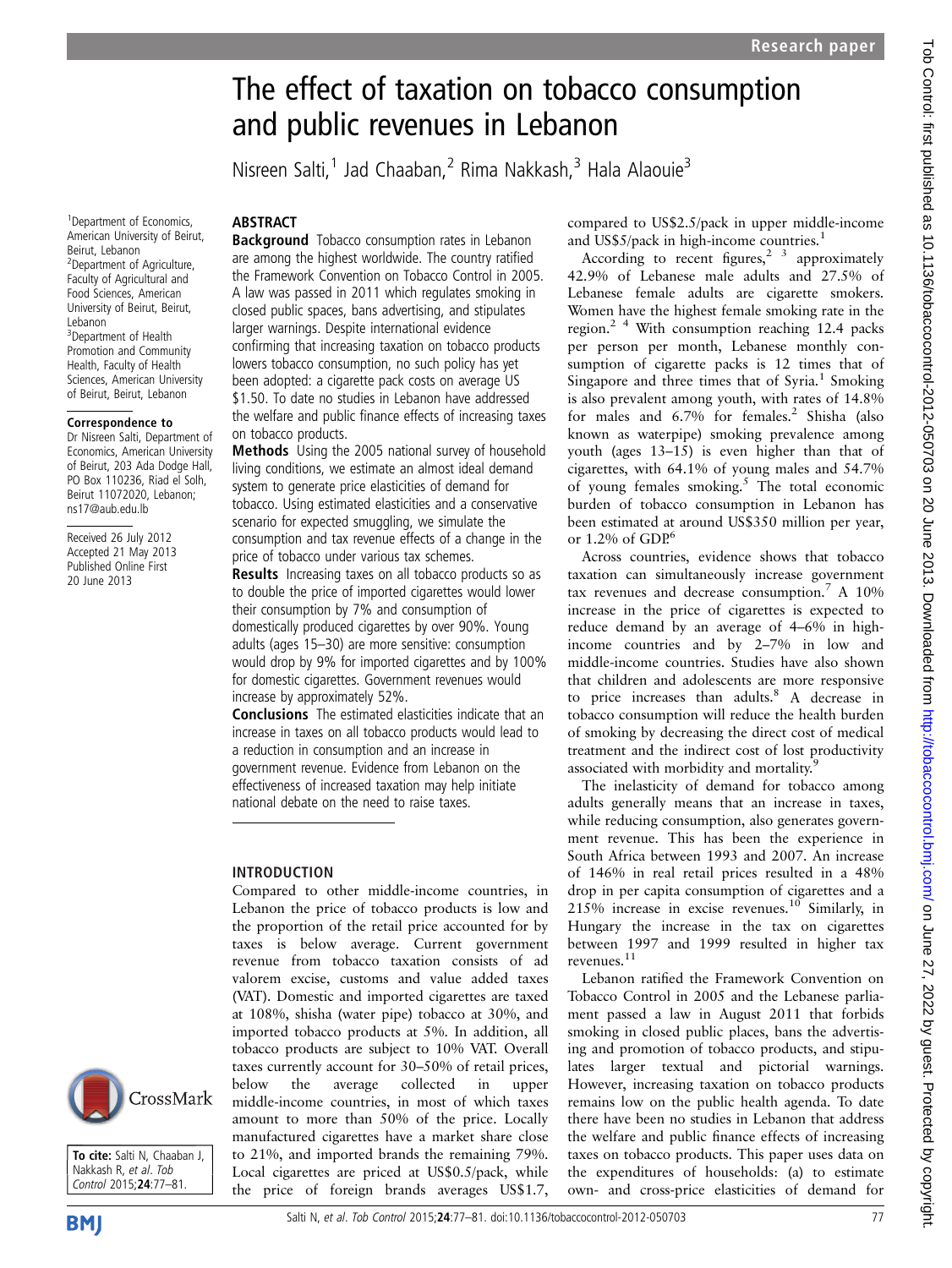Nisreen Salti,<sup>1</sup> Jad Chaaban,<sup>2</sup> Rima Nakkash,<sup>3</sup> Hala Alaouie<sup>3</sup>

1 Department of Economics, American University of Beirut, Beirut, Lebanon <sup>2</sup>Department of Agriculture, Faculty of Agricultural and Food Sciences, American University of Beirut, Beirut, Lebanon 3 Department of Health Promotion and Community Health, Faculty of Health Sciences, American University of Beirut, Beirut, Lebanon

#### Correspondence to

Dr Nisreen Salti, Department of Economics, American University of Beirut, 203 Ada Dodge Hall, PO Box 110236, Riad el Solh, Beirut 11072020, Lebanon; ns17@aub.edu.lb

Received 26 July 2012 Accepted 21 May 2013 Published Online First 20 June 2013

## **ABSTRACT**

**Background** Tobacco consumption rates in Lebanon are among the highest worldwide. The country ratified the Framework Convention on Tobacco Control in 2005. A law was passed in 2011 which regulates smoking in closed public spaces, bans advertising, and stipulates larger warnings. Despite international evidence confirming that increasing taxation on tobacco products lowers tobacco consumption, no such policy has yet been adopted: a cigarette pack costs on average US \$1.50. To date no studies in Lebanon have addressed the welfare and public finance effects of increasing taxes on tobacco products.

Methods Using the 2005 national survey of household living conditions, we estimate an almost ideal demand system to generate price elasticities of demand for tobacco. Using estimated elasticities and a conservative scenario for expected smuggling, we simulate the consumption and tax revenue effects of a change in the price of tobacco under various tax schemes.

Results Increasing taxes on all tobacco products so as to double the price of imported cigarettes would lower their consumption by 7% and consumption of domestically produced cigarettes by over 90%. Young adults (ages 15–30) are more sensitive: consumption would drop by 9% for imported cigarettes and by 100% for domestic cigarettes. Government revenues would increase by approximately 52%.

Conclusions The estimated elasticities indicate that an increase in taxes on all tobacco products would lead to a reduction in consumption and an increase in government revenue. Evidence from Lebanon on the effectiveness of increased taxation may help initiate national debate on the need to raise taxes.

## INTRODUCTION

Compared to other middle-income countries, in Lebanon the price of tobacco products is low and the proportion of the retail price accounted for by taxes is below average. Current government revenue from tobacco taxation consists of ad valorem excise, customs and value added taxes (VAT). Domestic and imported cigarettes are taxed at 108%, shisha (water pipe) tobacco at 30%, and imported tobacco products at 5%. In addition, all tobacco products are subject to 10% VAT. Overall taxes currently account for 30–50% of retail prices, below the average collected in upper middle-income countries, in most of which taxes amount to more than 50% of the price. Locally manufactured cigarettes have a market share close to 21%, and imported brands the remaining 79%. Local cigarettes are priced at US\$0.5/pack, while the price of foreign brands averages US\$1.7,

compared to US\$2.5/pack in upper middle-income and US\$5/pack in high-income countries.<sup>1</sup>

According to recent figures,<sup>2</sup> 3 approximately 42.9% of Lebanese male adults and 27.5% of Lebanese female adults are cigarette smokers. Women have the highest female smoking rate in the region.<sup>2</sup> <sup>4</sup> With consumption reaching 12.4 packs per person per month, Lebanese monthly consumption of cigarette packs is 12 times that of Singapore and three times that of  $Syria.<sup>1</sup>$  Smoking is also prevalent among youth, with rates of 14.8% for males and 6.7% for females.<sup>2</sup> Shisha (also known as waterpipe) smoking prevalence among youth (ages 13–15) is even higher than that of cigarettes, with 64.1% of young males and 54.7% of young females smoking. $5$  The total economic burden of tobacco consumption in Lebanon has been estimated at around US\$350 million per year, or  $1.2\%$  of GDP.<sup>6</sup>

Across countries, evidence shows that tobacco taxation can simultaneously increase government tax revenues and decrease consumption.<sup>7</sup> A 10% increase in the price of cigarettes is expected to reduce demand by an average of 4–6% in highincome countries and by 2–7% in low and middle-income countries. Studies have also shown that children and adolescents are more responsive to price increases than adults. $8 A$  decrease in tobacco consumption will reduce the health burden of smoking by decreasing the direct cost of medical treatment and the indirect cost of lost productivity associated with morbidity and mortality.<sup>9</sup>

The inelasticity of demand for tobacco among adults generally means that an increase in taxes, while reducing consumption, also generates government revenue. This has been the experience in South Africa between 1993 and 2007. An increase of 146% in real retail prices resulted in a 48% drop in per capita consumption of cigarettes and a  $215\%$  increase in excise revenues.<sup>10</sup> Similarly, in Hungary the increase in the tax on cigarettes between 1997 and 1999 resulted in higher tax revenues.11

Lebanon ratified the Framework Convention on Tobacco Control in 2005 and the Lebanese parliament passed a law in August 2011 that forbids smoking in closed public places, bans the advertising and promotion of tobacco products, and stipulates larger textual and pictorial warnings. However, increasing taxation on tobacco products remains low on the public health agenda. To date there have been no studies in Lebanon that address the welfare and public finance effects of increasing taxes on tobacco products. This paper uses data on the expenditures of households: (a) to estimate own- and cross-price elasticities of demand for

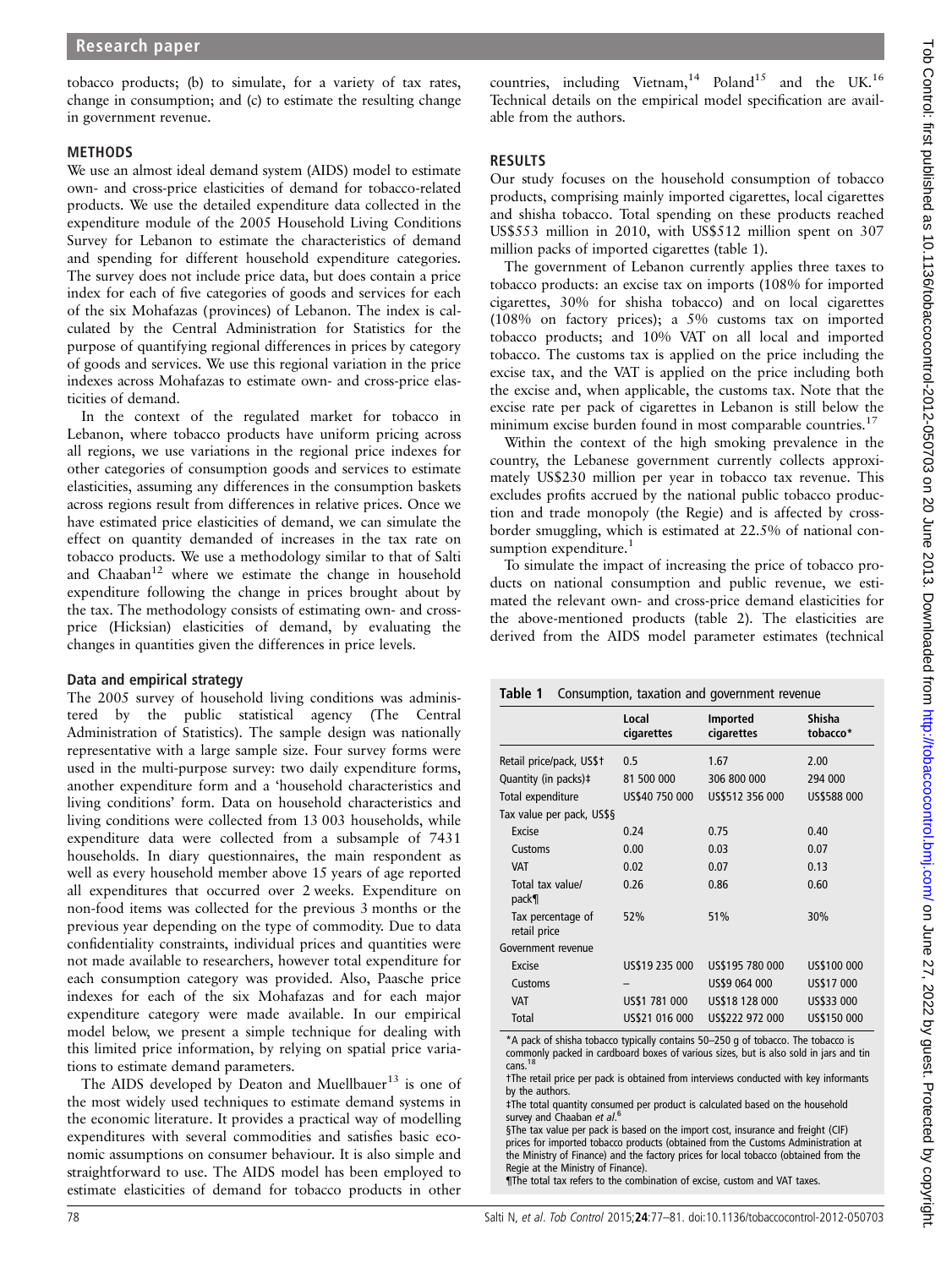tobacco products; (b) to simulate, for a variety of tax rates, change in consumption; and (c) to estimate the resulting change in government revenue.

### METHODS

We use an almost ideal demand system (AIDS) model to estimate own- and cross-price elasticities of demand for tobacco-related products. We use the detailed expenditure data collected in the expenditure module of the 2005 Household Living Conditions Survey for Lebanon to estimate the characteristics of demand and spending for different household expenditure categories. The survey does not include price data, but does contain a price index for each of five categories of goods and services for each of the six Mohafazas (provinces) of Lebanon. The index is calculated by the Central Administration for Statistics for the purpose of quantifying regional differences in prices by category of goods and services. We use this regional variation in the price indexes across Mohafazas to estimate own- and cross-price elasticities of demand.

In the context of the regulated market for tobacco in Lebanon, where tobacco products have uniform pricing across all regions, we use variations in the regional price indexes for other categories of consumption goods and services to estimate elasticities, assuming any differences in the consumption baskets across regions result from differences in relative prices. Once we have estimated price elasticities of demand, we can simulate the effect on quantity demanded of increases in the tax rate on tobacco products. We use a methodology similar to that of Salti and Chaaban<sup>12</sup> where we estimate the change in household expenditure following the change in prices brought about by the tax. The methodology consists of estimating own- and crossprice (Hicksian) elasticities of demand, by evaluating the changes in quantities given the differences in price levels.

### Data and empirical strategy

The 2005 survey of household living conditions was administered by the public statistical agency (The Central Administration of Statistics). The sample design was nationally representative with a large sample size. Four survey forms were used in the multi-purpose survey: two daily expenditure forms, another expenditure form and a 'household characteristics and living conditions' form. Data on household characteristics and living conditions were collected from 13 003 households, while expenditure data were collected from a subsample of 7431 households. In diary questionnaires, the main respondent as well as every household member above 15 years of age reported all expenditures that occurred over 2 weeks. Expenditure on non-food items was collected for the previous 3 months or the previous year depending on the type of commodity. Due to data confidentiality constraints, individual prices and quantities were not made available to researchers, however total expenditure for each consumption category was provided. Also, Paasche price indexes for each of the six Mohafazas and for each major expenditure category were made available. In our empirical model below, we present a simple technique for dealing with this limited price information, by relying on spatial price variations to estimate demand parameters.

The AIDS developed by Deaton and Muellbauer<sup>13</sup> is one of the most widely used techniques to estimate demand systems in the economic literature. It provides a practical way of modelling expenditures with several commodities and satisfies basic economic assumptions on consumer behaviour. It is also simple and straightforward to use. The AIDS model has been employed to estimate elasticities of demand for tobacco products in other

countries, including Vietnam,<sup>14</sup> Poland<sup>15</sup> and the UK.<sup>16</sup> Technical details on the empirical model specification are available from the authors.

### RESULTS

Our study focuses on the household consumption of tobacco products, comprising mainly imported cigarettes, local cigarettes and shisha tobacco. Total spending on these products reached US\$553 million in 2010, with US\$512 million spent on 307 million packs of imported cigarettes (table 1).

The government of Lebanon currently applies three taxes to tobacco products: an excise tax on imports (108% for imported cigarettes, 30% for shisha tobacco) and on local cigarettes (108% on factory prices); a 5% customs tax on imported tobacco products; and 10% VAT on all local and imported tobacco. The customs tax is applied on the price including the excise tax, and the VAT is applied on the price including both the excise and, when applicable, the customs tax. Note that the excise rate per pack of cigarettes in Lebanon is still below the minimum excise burden found in most comparable countries.<sup>17</sup>

Within the context of the high smoking prevalence in the country, the Lebanese government currently collects approximately US\$230 million per year in tobacco tax revenue. This excludes profits accrued by the national public tobacco production and trade monopoly (the Regie) and is affected by crossborder smuggling, which is estimated at 22.5% of national consumption expenditure.<sup>1</sup>

To simulate the impact of increasing the price of tobacco products on national consumption and public revenue, we estimated the relevant own- and cross-price demand elasticities for the above-mentioned products (table 2). The elasticities are derived from the AIDS model parameter estimates (technical

| Consumption, taxation and government revenue<br>Table 1 |                     |                               |                    |
|---------------------------------------------------------|---------------------|-------------------------------|--------------------|
|                                                         | Local<br>cigarettes | <b>Imported</b><br>cigarettes | Shisha<br>tobacco* |
| Retail price/pack, US\$†                                | 0.5                 | 1.67                          | 2.00               |
| Quantity (in packs)‡                                    | 81 500 000          | 306 800 000                   | 294 000            |
| Total expenditure                                       | US\$40 750 000      | US\$512 356 000               | US\$588 000        |
| Tax value per pack, US\$§                               |                     |                               |                    |
| Excise                                                  | 0.24                | 0.75                          | 0.40               |
| Customs                                                 | 0.00                | 0.03                          | 0.07               |
| <b>VAT</b>                                              | 0.02                | 0.07                          | 0.13               |
| Total tax value/<br>pack                                | 0.26                | 0.86                          | 0.60               |
| Tax percentage of<br>retail price                       | 52%                 | 51%                           | 30%                |
| Government revenue                                      |                     |                               |                    |
| Excise                                                  | US\$19 235 000      | US\$195 780 000               | US\$100 000        |
| Customs                                                 |                     | US\$9 064 000                 | US\$17 000         |
| <b>VAT</b>                                              | US\$1 781 000       | US\$18 128 000                | US\$33 000         |
| Total                                                   | US\$21 016 000      | US\$222 972 000               | US\$150 000        |

\*A pack of shisha tobacco typically contains 50–250 g of tobacco. The tobacco is commonly packed in cardboard boxes of various sizes, but is also sold in jars and tin cans.

†The retail price per pack is obtained from interviews conducted with key informants by the authors.

‡The total quantity consumed per product is calculated based on the household survey and Chaaban et al.<sup>6</sup>

§The tax value per pack is based on the import cost, insurance and freight (CIF) prices for imported tobacco products (obtained from the Customs Administration at the Ministry of Finance) and the factory prices for local tobacco (obtained from the Regie at the Ministry of Finance).

¶The total tax refers to the combination of excise, custom and VAT taxes.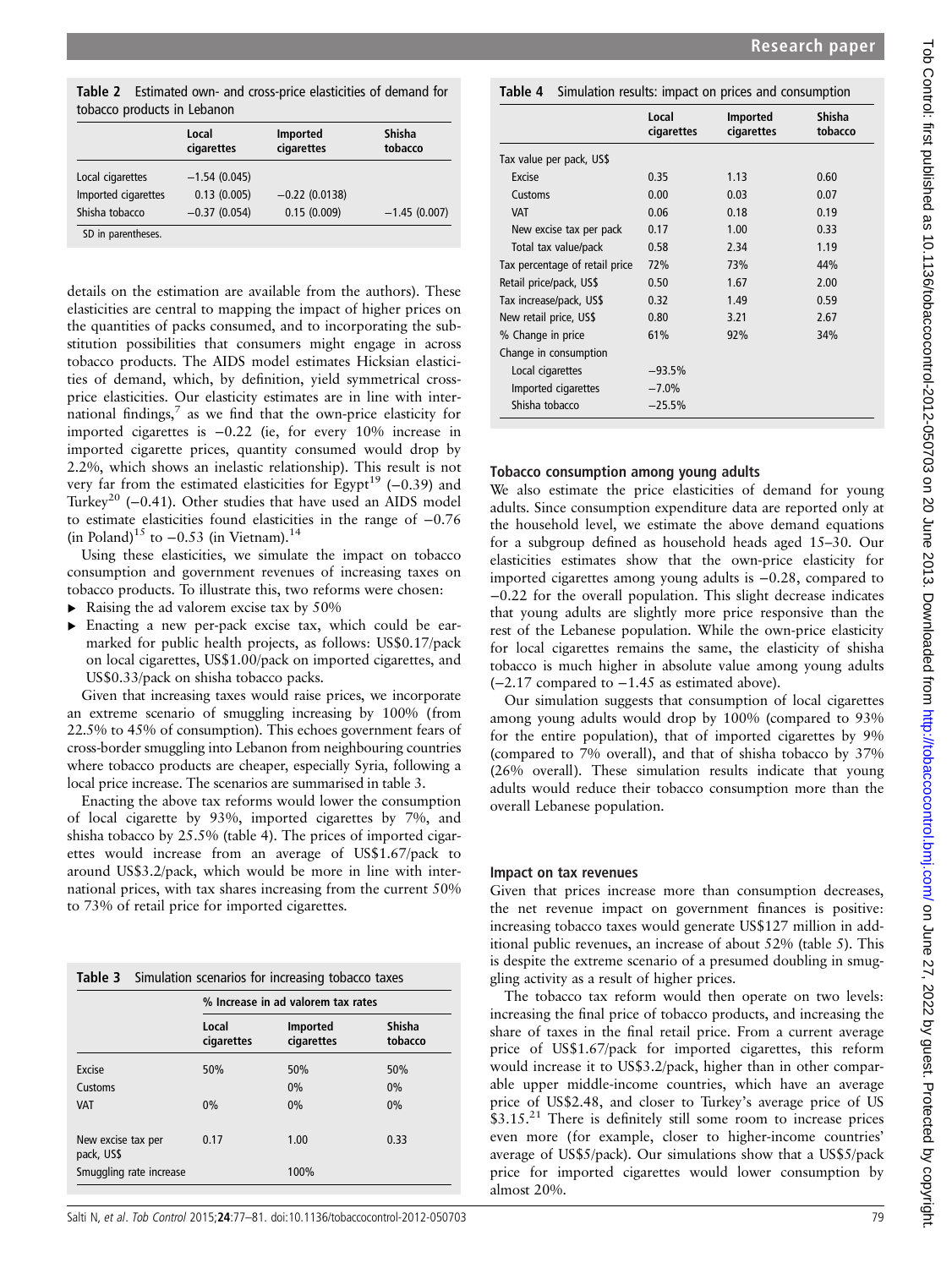Table 2 Estimated own- and cross-price elasticities of demand for tobacco products in Lebanon

|                                         | Local<br>cigarettes           | Imported<br>cigarettes | <b>Shisha</b><br>tobacco |
|-----------------------------------------|-------------------------------|------------------------|--------------------------|
| Local cigarettes<br>Imported cigarettes | $-1.54(0.045)$<br>0.13(0.005) | $-0.22$ (0.0138)       |                          |
| Shisha tobacco                          | $-0.37(0.054)$                | 0.15(0.009)            | $-1.45(0.007)$           |
| SD in parentheses.                      |                               |                        |                          |

details on the estimation are available from the authors). These elasticities are central to mapping the impact of higher prices on the quantities of packs consumed, and to incorporating the substitution possibilities that consumers might engage in across tobacco products. The AIDS model estimates Hicksian elasticities of demand, which, by definition, yield symmetrical crossprice elasticities. Our elasticity estimates are in line with international findings, $^7$  as we find that the own-price elasticity for imported cigarettes is −0.22 (ie, for every 10% increase in imported cigarette prices, quantity consumed would drop by 2.2%, which shows an inelastic relationship). This result is not very far from the estimated elasticities for Egypt<sup>19</sup> (−0.39) and Turkey<sup>20</sup> (−0.41). Other studies that have used an AIDS model to estimate elasticities found elasticities in the range of −0.76 (in Poland)<sup>15</sup> to  $-0.53$  (in Vietnam).<sup>14</sup>

Using these elasticities, we simulate the impact on tobacco consumption and government revenues of increasing taxes on tobacco products. To illustrate this, two reforms were chosen:

- $\blacktriangleright$  Raising the ad valorem excise tax by 50%
- ▸ Enacting a new per-pack excise tax, which could be earmarked for public health projects, as follows: US\$0.17/pack on local cigarettes, US\$1.00/pack on imported cigarettes, and US\$0.33/pack on shisha tobacco packs.

Given that increasing taxes would raise prices, we incorporate an extreme scenario of smuggling increasing by 100% (from 22.5% to 45% of consumption). This echoes government fears of cross-border smuggling into Lebanon from neighbouring countries where tobacco products are cheaper, especially Syria, following a local price increase. The scenarios are summarised in table 3.

Enacting the above tax reforms would lower the consumption of local cigarette by 93%, imported cigarettes by 7%, and shisha tobacco by 25.5% (table 4). The prices of imported cigarettes would increase from an average of US\$1.67/pack to around US\$3.2/pack, which would be more in line with international prices, with tax shares increasing from the current 50% to 73% of retail price for imported cigarettes.

| <b>Table 3</b> Simulation scenarios for increasing tobacco taxes |                                    |               |  |  |
|------------------------------------------------------------------|------------------------------------|---------------|--|--|
|                                                                  | % Increase in ad valorem tax rates |               |  |  |
| Local                                                            | Imported                           | <b>Shisha</b> |  |  |

|                                  | Local<br>cigarettes | importea<br>cigarettes | onisna<br>tobacco |
|----------------------------------|---------------------|------------------------|-------------------|
| Excise                           | 50%                 | 50%                    | 50%               |
| <b>Customs</b>                   |                     | 0%                     | 0%                |
| <b>VAT</b>                       | 0%                  | 0%                     | 0%                |
| New excise tax per<br>pack, US\$ | 0.17                | 1.00                   | 0.33              |
| Smuggling rate increase          |                     | 100%                   |                   |

# Table 4 Simulation results: impact on prices and consumption

|                                | Local<br>cigarettes | <b>Imported</b><br>cigarettes | <b>Shisha</b><br>tobacco |
|--------------------------------|---------------------|-------------------------------|--------------------------|
| Tax value per pack, US\$       |                     |                               |                          |
| Excise                         | 0.35                | 1.13                          | 0.60                     |
| Customs                        | 0.00                | 0.03                          | 0.07                     |
| <b>VAT</b>                     | 0.06                | 0.18                          | 0.19                     |
| New excise tax per pack        | 0.17                | 1.00                          | 0.33                     |
| Total tax value/pack           | 0.58                | 2.34                          | 1.19                     |
| Tax percentage of retail price | 72%                 | 73%                           | 44%                      |
| Retail price/pack, US\$        | 0.50                | 1.67                          | 2.00                     |
| Tax increase/pack, US\$        | 0.32                | 1.49                          | 0.59                     |
| New retail price, US\$         | 0.80                | 3.21                          | 2.67                     |
| % Change in price              | 61%                 | 92%                           | 34%                      |
| Change in consumption          |                     |                               |                          |
| Local cigarettes               | $-93.5%$            |                               |                          |
| Imported cigarettes            | $-7.0%$             |                               |                          |
| Shisha tobacco                 | $-25.5%$            |                               |                          |

## Tobacco consumption among young adults

We also estimate the price elasticities of demand for young adults. Since consumption expenditure data are reported only at the household level, we estimate the above demand equations for a subgroup defined as household heads aged 15–30. Our elasticities estimates show that the own-price elasticity for imported cigarettes among young adults is −0.28, compared to −0.22 for the overall population. This slight decrease indicates that young adults are slightly more price responsive than the rest of the Lebanese population. While the own-price elasticity for local cigarettes remains the same, the elasticity of shisha tobacco is much higher in absolute value among young adults (−2.17 compared to −1.45 as estimated above).

Our simulation suggests that consumption of local cigarettes among young adults would drop by 100% (compared to 93% for the entire population), that of imported cigarettes by 9% (compared to 7% overall), and that of shisha tobacco by 37% (26% overall). These simulation results indicate that young adults would reduce their tobacco consumption more than the overall Lebanese population.

## Impact on tax revenues

Given that prices increase more than consumption decreases, the net revenue impact on government finances is positive: increasing tobacco taxes would generate US\$127 million in additional public revenues, an increase of about 52% (table 5). This is despite the extreme scenario of a presumed doubling in smuggling activity as a result of higher prices.

The tobacco tax reform would then operate on two levels: increasing the final price of tobacco products, and increasing the share of taxes in the final retail price. From a current average price of US\$1.67/pack for imported cigarettes, this reform would increase it to US\$3.2/pack, higher than in other comparable upper middle-income countries, which have an average price of US\$2.48, and closer to Turkey's average price of US  $$3.15<sup>21</sup>$  There is definitely still some room to increase prices even more (for example, closer to higher-income countries' average of US\$5/pack). Our simulations show that a US\$5/pack price for imported cigarettes would lower consumption by almost 20%.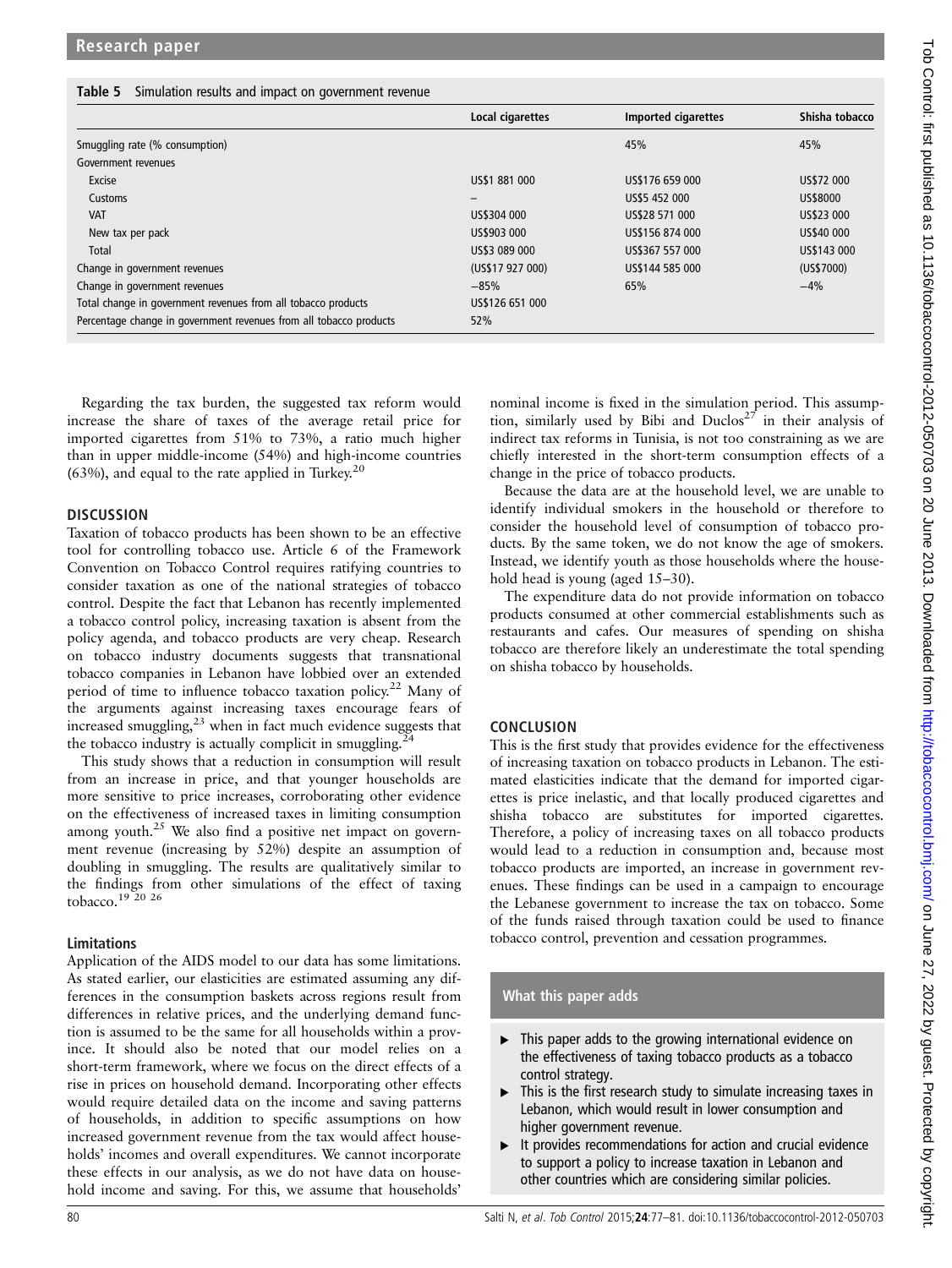#### Table 5 Simulation results and impact on government revenue

|                                                                    | Local cigarettes | Imported cigarettes | Shisha tobacco |
|--------------------------------------------------------------------|------------------|---------------------|----------------|
| Smuggling rate (% consumption)                                     |                  | 45%                 | 45%            |
| Government revenues                                                |                  |                     |                |
| Excise                                                             | US\$1 881 000    | US\$176 659 000     | US\$72 000     |
| Customs                                                            | $\qquad \qquad$  | US\$5 452 000       | US\$8000       |
| <b>VAT</b>                                                         | US\$304 000      | US\$28 571 000      | US\$23 000     |
| New tax per pack                                                   | US\$903 000      | US\$156 874 000     | US\$40 000     |
| Total                                                              | US\$3 089 000    | US\$367 557 000     | US\$143 000    |
| Change in government revenues                                      | (US\$17 927 000) | US\$144 585 000     | (US\$7000)     |
| Change in government revenues                                      | $-85%$           | 65%                 | $-4%$          |
| Total change in government revenues from all tobacco products      | US\$126 651 000  |                     |                |
| Percentage change in government revenues from all tobacco products | 52%              |                     |                |

Regarding the tax burden, the suggested tax reform would increase the share of taxes of the average retail price for imported cigarettes from 51% to 73%, a ratio much higher than in upper middle-income (54%) and high-income countries  $(63%)$ , and equal to the rate applied in Turkey.<sup>20</sup>

### **DISCUSSION**

Taxation of tobacco products has been shown to be an effective tool for controlling tobacco use. Article 6 of the Framework Convention on Tobacco Control requires ratifying countries to consider taxation as one of the national strategies of tobacco control. Despite the fact that Lebanon has recently implemented a tobacco control policy, increasing taxation is absent from the policy agenda, and tobacco products are very cheap. Research on tobacco industry documents suggests that transnational tobacco companies in Lebanon have lobbied over an extended period of time to influence tobacco taxation policy.<sup>22</sup> Many of the arguments against increasing taxes encourage fears of increased smuggling, $23$  when in fact much evidence suggests that the tobacco industry is actually complicit in smuggling.<sup>24</sup>

This study shows that a reduction in consumption will result from an increase in price, and that younger households are more sensitive to price increases, corroborating other evidence on the effectiveness of increased taxes in limiting consumption among youth. $25$  We also find a positive net impact on government revenue (increasing by 52%) despite an assumption of doubling in smuggling. The results are qualitatively similar to the findings from other simulations of the effect of taxing tobacco.19 20 26

### Limitations

Application of the AIDS model to our data has some limitations. As stated earlier, our elasticities are estimated assuming any differences in the consumption baskets across regions result from differences in relative prices, and the underlying demand function is assumed to be the same for all households within a province. It should also be noted that our model relies on a short-term framework, where we focus on the direct effects of a rise in prices on household demand. Incorporating other effects would require detailed data on the income and saving patterns of households, in addition to specific assumptions on how increased government revenue from the tax would affect households' incomes and overall expenditures. We cannot incorporate these effects in our analysis, as we do not have data on household income and saving. For this, we assume that households'

nominal income is fixed in the simulation period. This assumption, similarly used by Bibi and Duclos<sup>27</sup> in their analysis of indirect tax reforms in Tunisia, is not too constraining as we are chiefly interested in the short-term consumption effects of a change in the price of tobacco products.

Because the data are at the household level, we are unable to identify individual smokers in the household or therefore to consider the household level of consumption of tobacco products. By the same token, we do not know the age of smokers. Instead, we identify youth as those households where the household head is young (aged 15–30).

The expenditure data do not provide information on tobacco products consumed at other commercial establishments such as restaurants and cafes. Our measures of spending on shisha tobacco are therefore likely an underestimate the total spending on shisha tobacco by households.

## **CONCLUSION**

This is the first study that provides evidence for the effectiveness of increasing taxation on tobacco products in Lebanon. The estimated elasticities indicate that the demand for imported cigarettes is price inelastic, and that locally produced cigarettes and shisha tobacco are substitutes for imported cigarettes. Therefore, a policy of increasing taxes on all tobacco products would lead to a reduction in consumption and, because most tobacco products are imported, an increase in government revenues. These findings can be used in a campaign to encourage the Lebanese government to increase the tax on tobacco. Some of the funds raised through taxation could be used to finance tobacco control, prevention and cessation programmes.

## What this paper adds

- $\blacktriangleright$  This paper adds to the growing international evidence on the effectiveness of taxing tobacco products as a tobacco control strategy.
- $\blacktriangleright$  This is the first research study to simulate increasing taxes in Lebanon, which would result in lower consumption and higher government revenue.
- It provides recommendations for action and crucial evidence to support a policy to increase taxation in Lebanon and other countries which are considering similar policies.